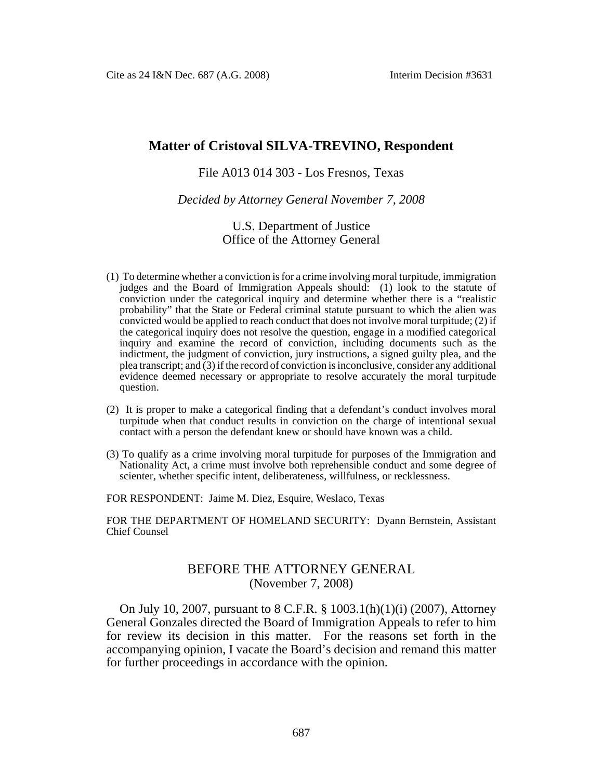# **Matter of Cristoval SILVA-TREVINO, Respondent**

## File A013 014 303 - Los Fresnos, Texas

## *Decided by Attorney General November 7, 2008*

## U.S. Department of Justice Office of the Attorney General

- (1) To determine whether a conviction is for a crime involving moral turpitude, immigration judges and the Board of Immigration Appeals should: (1) look to the statute of conviction under the categorical inquiry and determine whether there is a "realistic probability" that the State or Federal criminal statute pursuant to which the alien was convicted would be applied to reach conduct that does not involve moral turpitude; (2) if the categorical inquiry does not resolve the question, engage in a modified categorical inquiry and examine the record of conviction, including documents such as the indictment, the judgment of conviction, jury instructions, a signed guilty plea, and the plea transcript; and (3) if the record of conviction is inconclusive, consider any additional evidence deemed necessary or appropriate to resolve accurately the moral turpitude question.
- (2) It is proper to make a categorical finding that a defendant's conduct involves moral turpitude when that conduct results in conviction on the charge of intentional sexual contact with a person the defendant knew or should have known was a child.
- (3) To qualify as a crime involving moral turpitude for purposes of the Immigration and Nationality Act, a crime must involve both reprehensible conduct and some degree of scienter, whether specific intent, deliberateness, willfulness, or recklessness.

FOR RESPONDENT: Jaime M. Diez, Esquire, Weslaco, Texas

FOR THE DEPARTMENT OF HOMELAND SECURITY: Dyann Bernstein, Assistant Chief Counsel

# BEFORE THE ATTORNEY GENERAL (November 7, 2008)

On July 10, 2007, pursuant to 8 C.F.R. § 1003.1(h)(1)(i) (2007), Attorney General Gonzales directed the Board of Immigration Appeals to refer to him for review its decision in this matter. For the reasons set forth in the accompanying opinion, I vacate the Board's decision and remand this matter for further proceedings in accordance with the opinion.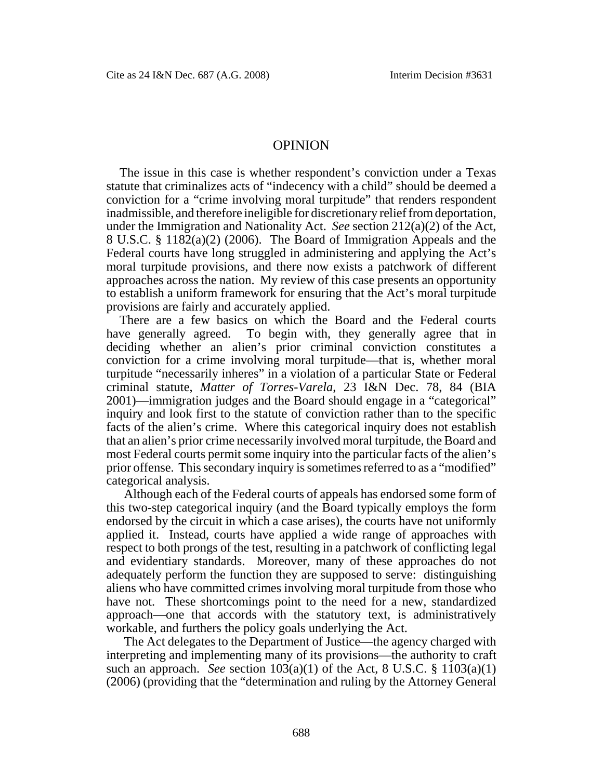### OPINION

The issue in this case is whether respondent's conviction under a Texas statute that criminalizes acts of "indecency with a child" should be deemed a conviction for a "crime involving moral turpitude" that renders respondent inadmissible, and therefore ineligible for discretionary relief from deportation, under the Immigration and Nationality Act. *See* section 212(a)(2) of the Act, 8 U.S.C. § 1182(a)(2) (2006). The Board of Immigration Appeals and the Federal courts have long struggled in administering and applying the Act's moral turpitude provisions, and there now exists a patchwork of different approaches across the nation. My review of this case presents an opportunity to establish a uniform framework for ensuring that the Act's moral turpitude provisions are fairly and accurately applied.

There are a few basics on which the Board and the Federal courts have generally agreed. To begin with, they generally agree that in deciding whether an alien's prior criminal conviction constitutes a conviction for a crime involving moral turpitude—that is, whether moral turpitude "necessarily inheres" in a violation of a particular State or Federal criminal statute, *Matter of Torres-Varela*, 23 I&N Dec. 78, 84 (BIA 2001)—immigration judges and the Board should engage in a "categorical" inquiry and look first to the statute of conviction rather than to the specific facts of the alien's crime. Where this categorical inquiry does not establish that an alien's prior crime necessarily involved moral turpitude, the Board and most Federal courts permit some inquiry into the particular facts of the alien's prior offense. This secondary inquiry is sometimes referred to as a "modified" categorical analysis.

Although each of the Federal courts of appeals has endorsed some form of this two-step categorical inquiry (and the Board typically employs the form endorsed by the circuit in which a case arises), the courts have not uniformly applied it. Instead, courts have applied a wide range of approaches with respect to both prongs of the test, resulting in a patchwork of conflicting legal and evidentiary standards. Moreover, many of these approaches do not adequately perform the function they are supposed to serve: distinguishing aliens who have committed crimes involving moral turpitude from those who have not. These shortcomings point to the need for a new, standardized approach—one that accords with the statutory text, is administratively workable, and furthers the policy goals underlying the Act.

The Act delegates to the Department of Justice—the agency charged with interpreting and implementing many of its provisions—the authority to craft such an approach. *See* section 103(a)(1) of the Act, 8 U.S.C. § 1103(a)(1) (2006) (providing that the "determination and ruling by the Attorney General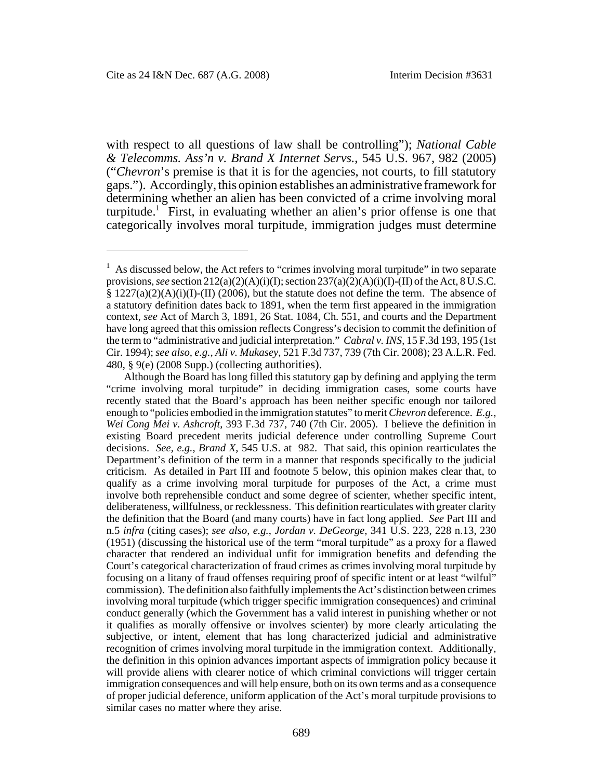with respect to all questions of law shall be controlling"); *National Cable & Telecomms. Ass'n v. Brand X Internet Servs.*, 545 U.S. 967, 982 (2005) ("*Chevron*'s premise is that it is for the agencies, not courts, to fill statutory gaps."). Accordingly, this opinion establishes an administrative framework for determining whether an alien has been convicted of a crime involving moral turpitude.<sup>1</sup> First, in evaluating whether an alien's prior offense is one that categorically involves moral turpitude, immigration judges must determine

 $<sup>1</sup>$  As discussed below, the Act refers to "crimes involving moral turpitude" in two separate</sup> provisions, *see* section  $212(a)(2)(A)(i)(I)$ ; section  $237(a)(2)(A)(i)(I)$ -(II) of the Act, 8 U.S.C.  $\S 1227(a)(2)(A)(i)(I)$ -(II) (2006), but the statute does not define the term. The absence of a statutory definition dates back to 1891, when the term first appeared in the immigration context, *see* Act of March 3, 1891, 26 Stat. 1084, Ch. 551, and courts and the Department have long agreed that this omission reflects Congress's decision to commit the definition of the term to "administrative and judicial interpretation." *Cabral v. INS*, 15 F.3d 193, 195 (1st Cir. 1994); *see also, e.g.*, *Ali v. Mukasey*, 521 F.3d 737, 739 (7th Cir. 2008); 23 A.L.R. Fed. 480, § 9(e) (2008 Supp.) (collecting authorities).

Although the Board has long filled this statutory gap by defining and applying the term "crime involving moral turpitude" in deciding immigration cases, some courts have recently stated that the Board's approach has been neither specific enough nor tailored enough to "policies embodied in the immigration statutes" to merit *Chevron* deference. *E.g.*, *Wei Cong Mei v. Ashcroft*, 393 F.3d 737, 740 (7th Cir. 2005). I believe the definition in existing Board precedent merits judicial deference under controlling Supreme Court decisions. *See, e.g.*, *Brand X*, 545 U.S. at 982. That said, this opinion rearticulates the Department's definition of the term in a manner that responds specifically to the judicial criticism. As detailed in Part III and footnote 5 below, this opinion makes clear that, to qualify as a crime involving moral turpitude for purposes of the Act, a crime must involve both reprehensible conduct and some degree of scienter, whether specific intent, deliberateness, willfulness, or recklessness. This definition rearticulates with greater clarity the definition that the Board (and many courts) have in fact long applied. *See* Part III and n.5 *infra* (citing cases); *see also, e.g.*, *Jordan v. DeGeorge*, 341 U.S. 223, 228 n.13, 230 (1951) (discussing the historical use of the term "moral turpitude" as a proxy for a flawed character that rendered an individual unfit for immigration benefits and defending the Court's categorical characterization of fraud crimes as crimes involving moral turpitude by focusing on a litany of fraud offenses requiring proof of specific intent or at least "wilful" commission). The definition also faithfully implements the Act's distinction between crimes involving moral turpitude (which trigger specific immigration consequences) and criminal conduct generally (which the Government has a valid interest in punishing whether or not it qualifies as morally offensive or involves scienter) by more clearly articulating the subjective, or intent, element that has long characterized judicial and administrative recognition of crimes involving moral turpitude in the immigration context. Additionally, the definition in this opinion advances important aspects of immigration policy because it will provide aliens with clearer notice of which criminal convictions will trigger certain immigration consequences and will help ensure, both on its own terms and as a consequence of proper judicial deference, uniform application of the Act's moral turpitude provisions to similar cases no matter where they arise.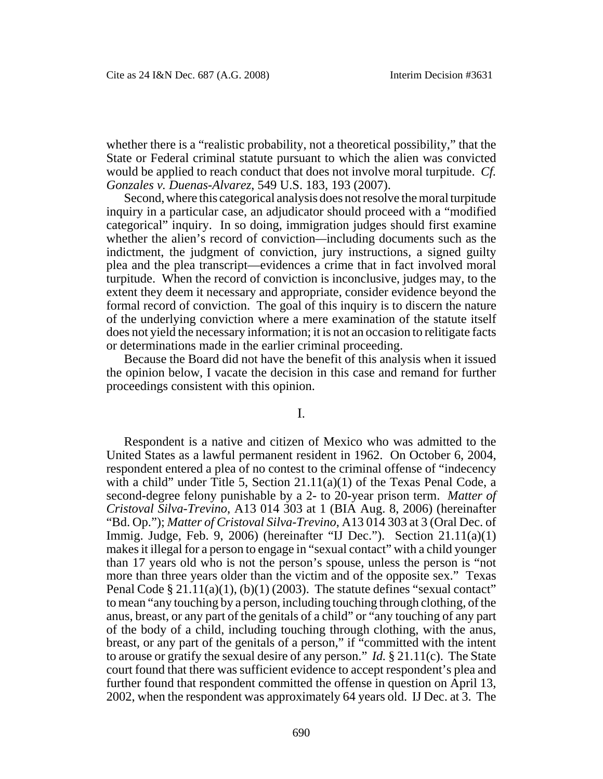whether there is a "realistic probability, not a theoretical possibility," that the State or Federal criminal statute pursuant to which the alien was convicted would be applied to reach conduct that does not involve moral turpitude. *Cf. Gonzales v. Duenas-Alvarez*, 549 U.S. 183, 193 (2007).

Second, where this categorical analysis does not resolve the moral turpitude inquiry in a particular case, an adjudicator should proceed with a "modified categorical" inquiry. In so doing, immigration judges should first examine whether the alien's record of conviction*—*including documents such as the indictment, the judgment of conviction, jury instructions, a signed guilty plea and the plea transcript—evidences a crime that in fact involved moral turpitude. When the record of conviction is inconclusive, judges may, to the extent they deem it necessary and appropriate, consider evidence beyond the formal record of conviction. The goal of this inquiry is to discern the nature of the underlying conviction where a mere examination of the statute itself does not yield the necessary information; it is not an occasion to relitigate facts or determinations made in the earlier criminal proceeding.

Because the Board did not have the benefit of this analysis when it issued the opinion below, I vacate the decision in this case and remand for further proceedings consistent with this opinion.

#### I.

Respondent is a native and citizen of Mexico who was admitted to the United States as a lawful permanent resident in 1962. On October 6, 2004, respondent entered a plea of no contest to the criminal offense of "indecency with a child" under Title 5, Section  $21.11(a)(1)$  of the Texas Penal Code, a second-degree felony punishable by a 2- to 20-year prison term. *Matter of Cristoval Silva-Trevino*, A13 014 303 at 1 (BIA Aug. 8, 2006) (hereinafter "Bd. Op."); *Matter of Cristoval Silva-Trevino*, A13 014 303 at 3 (Oral Dec. of Immig. Judge, Feb. 9, 2006) (hereinafter "IJ Dec."). Section 21.11(a)(1) makes it illegal for a person to engage in "sexual contact" with a child younger than 17 years old who is not the person's spouse, unless the person is "not more than three years older than the victim and of the opposite sex." Texas Penal Code  $\S 21.11(a)(1)$ , (b)(1) (2003). The statute defines "sexual contact" to mean "any touching by a person, including touching through clothing, of the anus, breast, or any part of the genitals of a child" or "any touching of any part of the body of a child, including touching through clothing, with the anus, breast, or any part of the genitals of a person," if "committed with the intent to arouse or gratify the sexual desire of any person." *Id.* § 21.11(c). The State court found that there was sufficient evidence to accept respondent's plea and further found that respondent committed the offense in question on April 13, 2002, when the respondent was approximately 64 years old. IJ Dec. at 3. The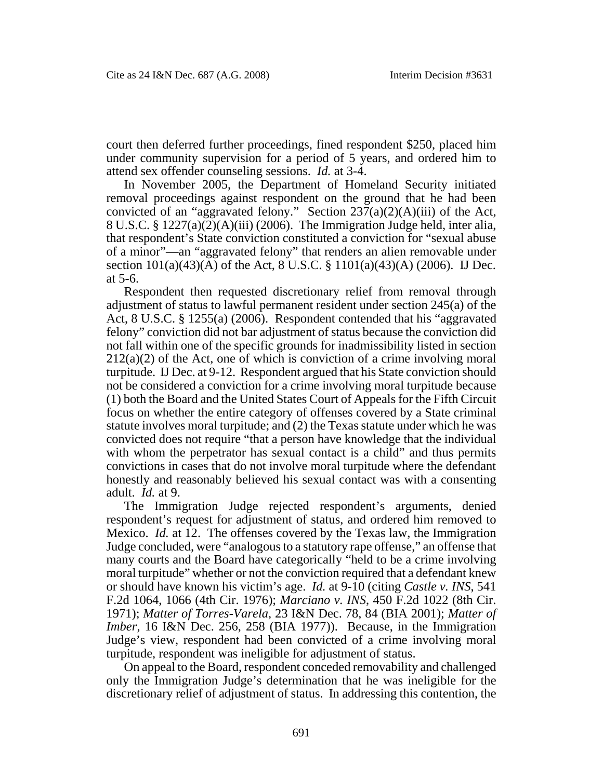court then deferred further proceedings, fined respondent \$250, placed him under community supervision for a period of 5 years, and ordered him to attend sex offender counseling sessions. *Id.* at 3-4.

In November 2005, the Department of Homeland Security initiated removal proceedings against respondent on the ground that he had been convicted of an "aggravated felony." Section  $237(a)(2)(A)(iii)$  of the Act, 8 U.S.C. § 1227(a)(2)(A)(iii) (2006). The Immigration Judge held, inter alia, that respondent's State conviction constituted a conviction for "sexual abuse of a minor"—an "aggravated felony" that renders an alien removable under section 101(a)(43)(A) of the Act, 8 U.S.C. § 1101(a)(43)(A) (2006). IJ Dec. at 5-6.

Respondent then requested discretionary relief from removal through adjustment of status to lawful permanent resident under section 245(a) of the Act, 8 U.S.C. § 1255(a) (2006). Respondent contended that his "aggravated felony" conviction did not bar adjustment of status because the conviction did not fall within one of the specific grounds for inadmissibility listed in section  $212(a)(2)$  of the Act, one of which is conviction of a crime involving moral turpitude. IJ Dec. at 9-12. Respondent argued that his State conviction should not be considered a conviction for a crime involving moral turpitude because (1) both the Board and the United States Court of Appeals for the Fifth Circuit focus on whether the entire category of offenses covered by a State criminal statute involves moral turpitude; and (2) the Texas statute under which he was convicted does not require "that a person have knowledge that the individual with whom the perpetrator has sexual contact is a child" and thus permits convictions in cases that do not involve moral turpitude where the defendant honestly and reasonably believed his sexual contact was with a consenting adult. *Id.* at 9.

The Immigration Judge rejected respondent's arguments, denied respondent's request for adjustment of status, and ordered him removed to Mexico. *Id.* at 12. The offenses covered by the Texas law, the Immigration Judge concluded, were "analogous to a statutory rape offense," an offense that many courts and the Board have categorically "held to be a crime involving moral turpitude" whether or not the conviction required that a defendant knew or should have known his victim's age. *Id.* at 9-10 (citing *Castle v. INS*, 541 F.2d 1064, 1066 (4th Cir. 1976); *Marciano v. INS*, 450 F.2d 1022 (8th Cir. 1971); *Matter of Torres-Varela*, 23 I&N Dec. 78, 84 (BIA 2001); *Matter of Imber*, 16 I&N Dec. 256, 258 (BIA 1977)). Because, in the Immigration Judge's view, respondent had been convicted of a crime involving moral turpitude, respondent was ineligible for adjustment of status.

On appeal to the Board, respondent conceded removability and challenged only the Immigration Judge's determination that he was ineligible for the discretionary relief of adjustment of status. In addressing this contention, the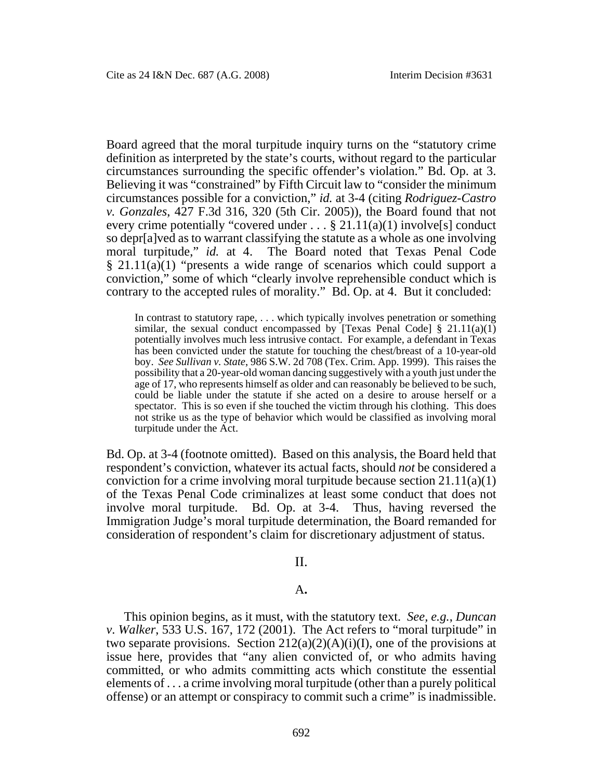Board agreed that the moral turpitude inquiry turns on the "statutory crime definition as interpreted by the state's courts, without regard to the particular circumstances surrounding the specific offender's violation." Bd. Op. at 3. Believing it was "constrained" by Fifth Circuit law to "consider the minimum circumstances possible for a conviction," *id.* at 3-4 (citing *Rodriguez-Castro v. Gonzales*, 427 F.3d 316, 320 (5th Cir. 2005)), the Board found that not every crime potentially "covered under  $\dots$  § 21.11(a)(1) involve[s] conduct so depr[a]ved as to warrant classifying the statute as a whole as one involving moral turpitude," *id.* at 4. The Board noted that Texas Penal Code § 21.11(a)(1) "presents a wide range of scenarios which could support a conviction," some of which "clearly involve reprehensible conduct which is contrary to the accepted rules of morality." Bd. Op. at 4. But it concluded:

In contrast to statutory rape, . . . which typically involves penetration or something similar, the sexual conduct encompassed by [Texas Penal Code]  $\S$  21.11(a)(1) potentially involves much less intrusive contact. For example, a defendant in Texas has been convicted under the statute for touching the chest/breast of a 10-year-old boy. *See Sullivan v. State*, 986 S.W. 2d 708 (Tex. Crim. App. 1999). This raises the possibility that a 20-year-old woman dancing suggestively with a youth just under the age of 17, who represents himself as older and can reasonably be believed to be such, could be liable under the statute if she acted on a desire to arouse herself or a spectator. This is so even if she touched the victim through his clothing. This does not strike us as the type of behavior which would be classified as involving moral turpitude under the Act.

Bd. Op. at 3-4 (footnote omitted). Based on this analysis, the Board held that respondent's conviction, whatever its actual facts, should *not* be considered a conviction for a crime involving moral turpitude because section 21.11(a)(1) of the Texas Penal Code criminalizes at least some conduct that does not involve moral turpitude. Bd. Op. at 3-4. Thus, having reversed the Immigration Judge's moral turpitude determination, the Board remanded for consideration of respondent's claim for discretionary adjustment of status.

## II.

### A**.**

This opinion begins, as it must, with the statutory text. *See, e.g.*, *Duncan v*. *Walker*, 533 U.S. 167, 172 (2001). The Act refers to "moral turpitude" in two separate provisions. Section  $212(a)(2)(A)(i)(I)$ , one of the provisions at issue here, provides that "any alien convicted of, or who admits having committed, or who admits committing acts which constitute the essential elements of . . . a crime involving moral turpitude (other than a purely political offense) or an attempt or conspiracy to commit such a crime" is inadmissible.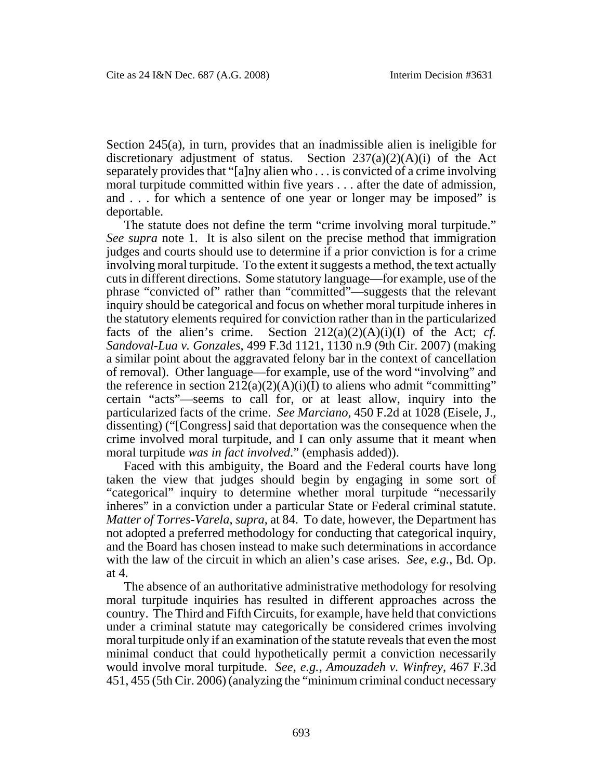Section 245(a), in turn, provides that an inadmissible alien is ineligible for discretionary adjustment of status. Section  $237(a)(2)(A)(i)$  of the Act separately provides that "[a]ny alien who . . . is convicted of a crime involving moral turpitude committed within five years . . . after the date of admission, and . . . for which a sentence of one year or longer may be imposed" is deportable.

The statute does not define the term "crime involving moral turpitude." *See supra* note 1. It is also silent on the precise method that immigration judges and courts should use to determine if a prior conviction is for a crime involving moral turpitude. To the extent it suggests a method, the text actually cuts in different directions. Some statutory language—for example, use of the phrase "convicted of" rather than "committed"—suggests that the relevant inquiry should be categorical and focus on whether moral turpitude inheres in the statutory elements required for conviction rather than in the particularized facts of the alien's crime. Section  $212(a)(2)(A)(i)(I)$  of the Act; *cf. Sandoval-Lua v. Gonzales*, 499 F.3d 1121, 1130 n.9 (9th Cir. 2007) (making a similar point about the aggravated felony bar in the context of cancellation of removal). Other language—for example, use of the word "involving" and the reference in section  $212(a)(2)(A)(i)(I)$  to aliens who admit "committing" certain "acts"—seems to call for, or at least allow, inquiry into the particularized facts of the crime. *See Marciano*, 450 F.2d at 1028 (Eisele, J., dissenting) ("[Congress] said that deportation was the consequence when the crime involved moral turpitude, and I can only assume that it meant when moral turpitude *was in fact involved*." (emphasis added)).

Faced with this ambiguity, the Board and the Federal courts have long taken the view that judges should begin by engaging in some sort of "categorical" inquiry to determine whether moral turpitude "necessarily inheres" in a conviction under a particular State or Federal criminal statute. *Matter of Torres-Varela*, *supra*, at 84. To date, however, the Department has not adopted a preferred methodology for conducting that categorical inquiry, and the Board has chosen instead to make such determinations in accordance with the law of the circuit in which an alien's case arises. *See, e.g.*, Bd. Op. at 4.

The absence of an authoritative administrative methodology for resolving moral turpitude inquiries has resulted in different approaches across the country. The Third and Fifth Circuits, for example, have held that convictions under a criminal statute may categorically be considered crimes involving moral turpitude only if an examination of the statute reveals that even the most minimal conduct that could hypothetically permit a conviction necessarily would involve moral turpitude. *See, e.g.*, *Amouzadeh v. Winfrey*, 467 F.3d 451, 455 (5th Cir. 2006) (analyzing the "minimum criminal conduct necessary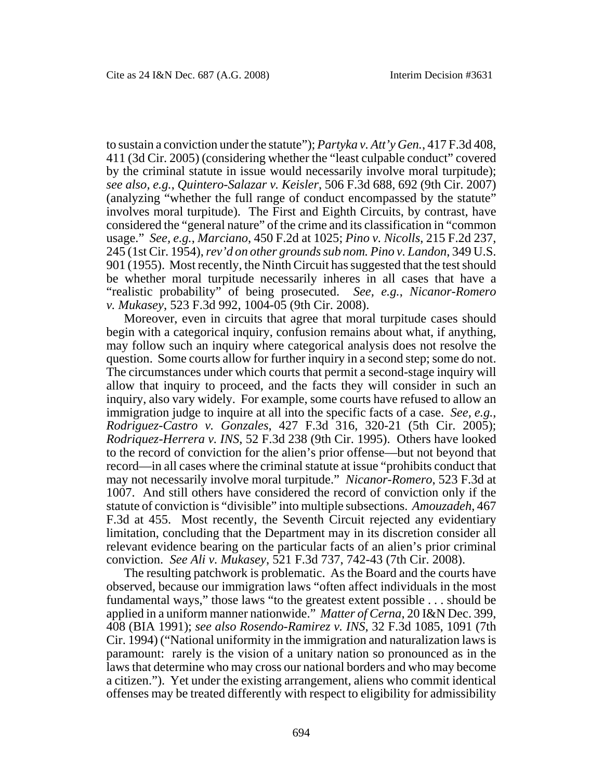to sustain a conviction under the statute"); *Partyka v. Att'y Gen.*, 417 F.3d 408, 411 (3d Cir. 2005) (considering whether the "least culpable conduct" covered by the criminal statute in issue would necessarily involve moral turpitude); *see also, e.g.*, *Quintero-Salazar v. Keisler*, 506 F.3d 688, 692 (9th Cir. 2007) (analyzing "whether the full range of conduct encompassed by the statute" involves moral turpitude). The First and Eighth Circuits, by contrast, have considered the "general nature" of the crime and its classification in "common usage." *See, e.g.*, *Marciano*, 450 F.2d at 1025; *Pino v. Nicolls*, 215 F.2d 237, 245 (1st Cir. 1954), *rev'd on other grounds sub nom. Pino v. Landon*, 349 U.S. 901 (1955). Most recently, the Ninth Circuit has suggested that the test should be whether moral turpitude necessarily inheres in all cases that have a "realistic probability" of being prosecuted. *See, e.g.*, *Nicanor-Romero v. Mukasey*, 523 F.3d 992, 1004-05 (9th Cir. 2008).

Moreover, even in circuits that agree that moral turpitude cases should begin with a categorical inquiry, confusion remains about what, if anything, may follow such an inquiry where categorical analysis does not resolve the question. Some courts allow for further inquiry in a second step; some do not. The circumstances under which courts that permit a second-stage inquiry will allow that inquiry to proceed, and the facts they will consider in such an inquiry, also vary widely. For example, some courts have refused to allow an immigration judge to inquire at all into the specific facts of a case. *See, e.g.*, *Rodriguez-Castro v. Gonzales*, 427 F.3d 316, 320-21 (5th Cir. 2005); *Rodriquez-Herrera v. INS*, 52 F.3d 238 (9th Cir. 1995). Others have looked to the record of conviction for the alien's prior offense—but not beyond that record—in all cases where the criminal statute at issue "prohibits conduct that may not necessarily involve moral turpitude." *Nicanor-Romero*, 523 F.3d at 1007. And still others have considered the record of conviction only if the statute of conviction is "divisible" into multiple subsections. *Amouzadeh*, 467 F.3d at 455. Most recently, the Seventh Circuit rejected any evidentiary limitation, concluding that the Department may in its discretion consider all relevant evidence bearing on the particular facts of an alien's prior criminal conviction. *See Ali v. Mukasey*, 521 F.3d 737, 742-43 (7th Cir. 2008).

The resulting patchwork is problematic. As the Board and the courts have observed, because our immigration laws "often affect individuals in the most fundamental ways," those laws "to the greatest extent possible . . . should be applied in a uniform manner nationwide." *Matter of Cerna*, 20 I&N Dec. 399, 408 (BIA 1991); *see also Rosendo-Ramirez v. INS*, 32 F.3d 1085, 1091 (7th Cir. 1994) ("National uniformity in the immigration and naturalization laws is paramount: rarely is the vision of a unitary nation so pronounced as in the laws that determine who may cross our national borders and who may become a citizen."). Yet under the existing arrangement, aliens who commit identical offenses may be treated differently with respect to eligibility for admissibility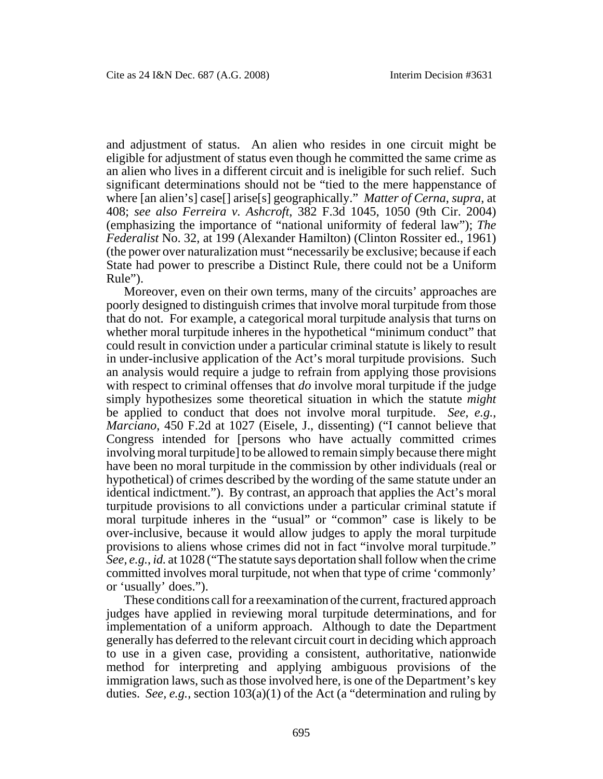and adjustment of status. An alien who resides in one circuit might be eligible for adjustment of status even though he committed the same crime as an alien who lives in a different circuit and is ineligible for such relief. Such significant determinations should not be "tied to the mere happenstance of where [an alien's] case[] arise[s] geographically." *Matter of Cerna*, *supra*, at 408; *see also Ferreira v. Ashcroft*, 382 F.3d 1045, 1050 (9th Cir. 2004) (emphasizing the importance of "national uniformity of federal law"); *The Federalist* No. 32, at 199 (Alexander Hamilton) (Clinton Rossiter ed., 1961) (the power over naturalization must "necessarily be exclusive; because if each State had power to prescribe a Distinct Rule, there could not be a Uniform Rule").

Moreover, even on their own terms, many of the circuits' approaches are poorly designed to distinguish crimes that involve moral turpitude from those that do not. For example, a categorical moral turpitude analysis that turns on whether moral turpitude inheres in the hypothetical "minimum conduct" that could result in conviction under a particular criminal statute is likely to result in under-inclusive application of the Act's moral turpitude provisions. Such an analysis would require a judge to refrain from applying those provisions with respect to criminal offenses that *do* involve moral turpitude if the judge simply hypothesizes some theoretical situation in which the statute *might* be applied to conduct that does not involve moral turpitude. *See, e.g.*, *Marciano*, 450 F.2d at 1027 (Eisele, J., dissenting) ("I cannot believe that Congress intended for [persons who have actually committed crimes involving moral turpitude] to be allowed to remain simply because there might have been no moral turpitude in the commission by other individuals (real or hypothetical) of crimes described by the wording of the same statute under an identical indictment."). By contrast, an approach that applies the Act's moral turpitude provisions to all convictions under a particular criminal statute if moral turpitude inheres in the "usual" or "common" case is likely to be over-inclusive, because it would allow judges to apply the moral turpitude provisions to aliens whose crimes did not in fact "involve moral turpitude." *See, e.g.*, *id.* at 1028 ("The statute says deportation shall follow when the crime committed involves moral turpitude, not when that type of crime 'commonly' or 'usually' does.").

These conditions call for a reexamination of the current, fractured approach judges have applied in reviewing moral turpitude determinations, and for implementation of a uniform approach. Although to date the Department generally has deferred to the relevant circuit court in deciding which approach to use in a given case, providing a consistent, authoritative, nationwide method for interpreting and applying ambiguous provisions of the immigration laws, such as those involved here, is one of the Department's key duties. *See, e.g.*, section 103(a)(1) of the Act (a "determination and ruling by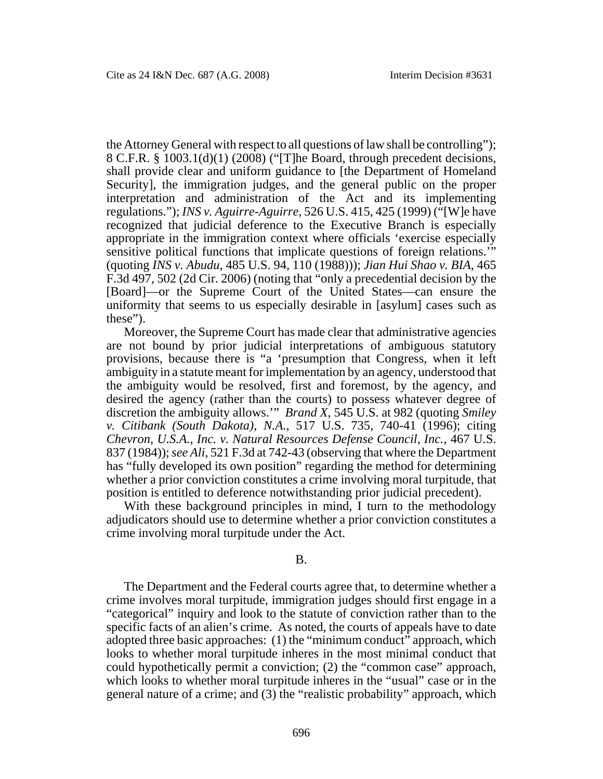the Attorney General with respect to all questions of law shall be controlling"); 8 C.F.R. § 1003.1(d)(1) (2008) ("[T]he Board, through precedent decisions, shall provide clear and uniform guidance to [the Department of Homeland Security], the immigration judges, and the general public on the proper interpretation and administration of the Act and its implementing regulations."); *INS v. Aguirre-Aguirre*, 526 U.S. 415, 425 (1999) ("[W]e have recognized that judicial deference to the Executive Branch is especially appropriate in the immigration context where officials 'exercise especially sensitive political functions that implicate questions of foreign relations.'" (quoting *INS v. Abudu*, 485 U.S. 94, 110 (1988))); *Jian Hui Shao v. BIA*, 465 F.3d 497, 502 (2d Cir. 2006) (noting that "only a precedential decision by the [Board]—or the Supreme Court of the United States—can ensure the uniformity that seems to us especially desirable in [asylum] cases such as these").

Moreover, the Supreme Court has made clear that administrative agencies are not bound by prior judicial interpretations of ambiguous statutory provisions, because there is "a 'presumption that Congress, when it left ambiguity in a statute meant for implementation by an agency, understood that the ambiguity would be resolved, first and foremost, by the agency, and desired the agency (rather than the courts) to possess whatever degree of discretion the ambiguity allows.'" *Brand X*, 545 U.S. at 982 (quoting *Smiley v. Citibank (South Dakota), N.A.*, 517 U.S. 735, 740-41 (1996); citing *Chevron, U.S.A., Inc. v. Natural Resources Defense Council, Inc.*, 467 U.S. 837 (1984)); *see Ali*, 521 F.3d at 742-43 (observing that where the Department has "fully developed its own position" regarding the method for determining whether a prior conviction constitutes a crime involving moral turpitude, that position is entitled to deference notwithstanding prior judicial precedent).

With these background principles in mind, I turn to the methodology adjudicators should use to determine whether a prior conviction constitutes a crime involving moral turpitude under the Act.

### B.

The Department and the Federal courts agree that, to determine whether a crime involves moral turpitude, immigration judges should first engage in a "categorical" inquiry and look to the statute of conviction rather than to the specific facts of an alien's crime. As noted, the courts of appeals have to date adopted three basic approaches: (1) the "minimum conduct" approach, which looks to whether moral turpitude inheres in the most minimal conduct that could hypothetically permit a conviction; (2) the "common case" approach, which looks to whether moral turpitude inheres in the "usual" case or in the general nature of a crime; and (3) the "realistic probability" approach, which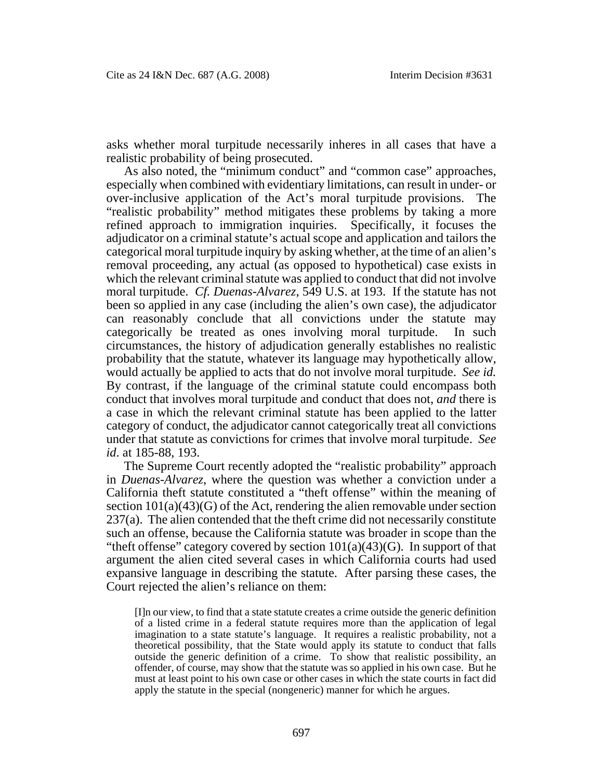asks whether moral turpitude necessarily inheres in all cases that have a realistic probability of being prosecuted.

As also noted, the "minimum conduct" and "common case" approaches, especially when combined with evidentiary limitations, can result in under- or over-inclusive application of the Act's moral turpitude provisions. The "realistic probability" method mitigates these problems by taking a more refined approach to immigration inquiries. Specifically, it focuses the adjudicator on a criminal statute's actual scope and application and tailors the categorical moral turpitude inquiry by asking whether, at the time of an alien's removal proceeding, any actual (as opposed to hypothetical) case exists in which the relevant criminal statute was applied to conduct that did not involve moral turpitude. *Cf. Duenas-Alvarez*, 549 U.S. at 193. If the statute has not been so applied in any case (including the alien's own case), the adjudicator can reasonably conclude that all convictions under the statute may categorically be treated as ones involving moral turpitude. In such circumstances, the history of adjudication generally establishes no realistic probability that the statute, whatever its language may hypothetically allow, would actually be applied to acts that do not involve moral turpitude. *See id.* By contrast, if the language of the criminal statute could encompass both conduct that involves moral turpitude and conduct that does not, *and* there is a case in which the relevant criminal statute has been applied to the latter category of conduct, the adjudicator cannot categorically treat all convictions under that statute as convictions for crimes that involve moral turpitude. *See id*. at 185-88, 193.

The Supreme Court recently adopted the "realistic probability" approach in *Duenas-Alvarez*, where the question was whether a conviction under a California theft statute constituted a "theft offense" within the meaning of section  $101(a)(43)(G)$  of the Act, rendering the alien removable under section 237(a). The alien contended that the theft crime did not necessarily constitute such an offense, because the California statute was broader in scope than the "theft offense" category covered by section  $101(a)(43)(G)$ . In support of that argument the alien cited several cases in which California courts had used expansive language in describing the statute. After parsing these cases, the Court rejected the alien's reliance on them:

[I]n our view, to find that a state statute creates a crime outside the generic definition of a listed crime in a federal statute requires more than the application of legal imagination to a state statute's language. It requires a realistic probability, not a theoretical possibility, that the State would apply its statute to conduct that falls outside the generic definition of a crime. To show that realistic possibility, an offender, of course, may show that the statute was so applied in his own case. But he must at least point to his own case or other cases in which the state courts in fact did apply the statute in the special (nongeneric) manner for which he argues.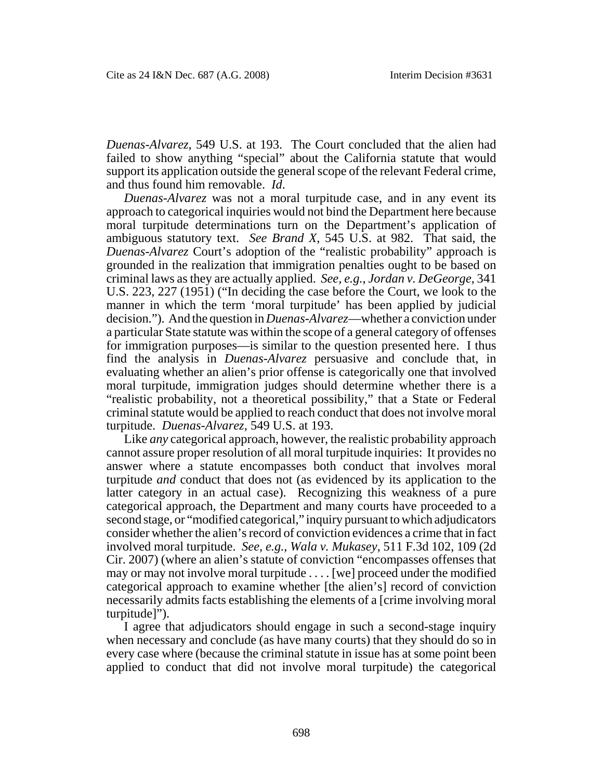*Duenas-Alvarez*, 549 U.S. at 193. The Court concluded that the alien had failed to show anything "special" about the California statute that would support its application outside the general scope of the relevant Federal crime, and thus found him removable. *Id*.

*Duenas-Alvarez* was not a moral turpitude case, and in any event its approach to categorical inquiries would not bind the Department here because moral turpitude determinations turn on the Department's application of ambiguous statutory text. *See Brand X*, 545 U.S. at 982. That said, the *Duenas-Alvarez* Court's adoption of the "realistic probability" approach is grounded in the realization that immigration penalties ought to be based on criminal laws as they are actually applied. *See, e.g.*, *Jordan v. DeGeorge*, 341 U.S. 223, 227 (1951) ("In deciding the case before the Court, we look to the manner in which the term 'moral turpitude' has been applied by judicial decision."). And the question in *Duenas-Alvarez*—whether a conviction under a particular State statute was within the scope of a general category of offenses for immigration purposes—is similar to the question presented here. I thus find the analysis in *Duenas-Alvarez* persuasive and conclude that, in evaluating whether an alien's prior offense is categorically one that involved moral turpitude, immigration judges should determine whether there is a "realistic probability, not a theoretical possibility," that a State or Federal criminal statute would be applied to reach conduct that does not involve moral turpitude. *Duenas-Alvarez*, 549 U.S. at 193.

Like *any* categorical approach, however, the realistic probability approach cannot assure proper resolution of all moral turpitude inquiries: It provides no answer where a statute encompasses both conduct that involves moral turpitude *and* conduct that does not (as evidenced by its application to the latter category in an actual case). Recognizing this weakness of a pure categorical approach, the Department and many courts have proceeded to a second stage, or "modified categorical," inquiry pursuant to which adjudicators consider whether the alien's record of conviction evidences a crime that in fact involved moral turpitude. *See, e.g.*, *Wala v. Mukasey*, 511 F.3d 102, 109 (2d Cir. 2007) (where an alien's statute of conviction "encompasses offenses that may or may not involve moral turpitude . . . . [we] proceed under the modified categorical approach to examine whether [the alien's] record of conviction necessarily admits facts establishing the elements of a [crime involving moral turpitude]").

I agree that adjudicators should engage in such a second-stage inquiry when necessary and conclude (as have many courts) that they should do so in every case where (because the criminal statute in issue has at some point been applied to conduct that did not involve moral turpitude) the categorical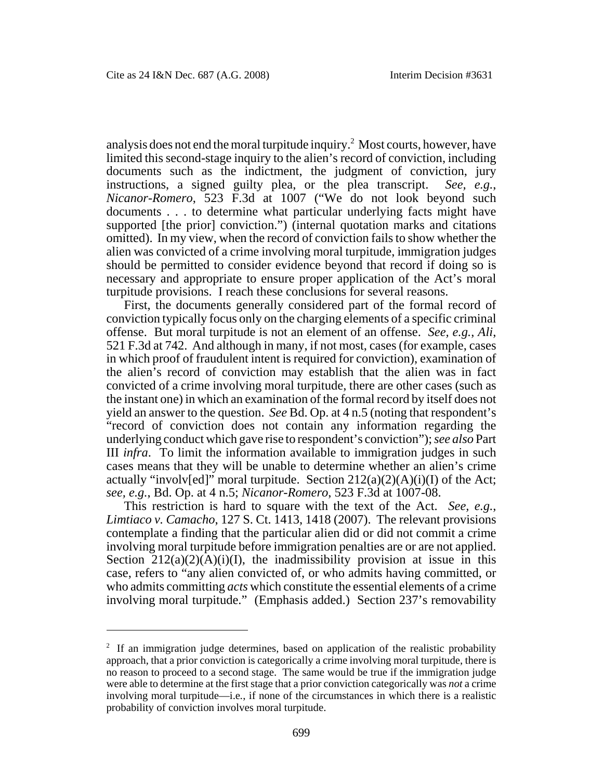analysis does not end the moral turpitude inquiry.<sup>2</sup> Most courts, however, have limited this second-stage inquiry to the alien's record of conviction, including documents such as the indictment, the judgment of conviction, jury instructions, a signed guilty plea, or the plea transcript. *See, e.g.*, *Nicanor-Romero*, 523 F.3d at 1007 ("We do not look beyond such documents . . . to determine what particular underlying facts might have supported [the prior] conviction.") (internal quotation marks and citations omitted). In my view, when the record of conviction fails to show whether the alien was convicted of a crime involving moral turpitude, immigration judges should be permitted to consider evidence beyond that record if doing so is necessary and appropriate to ensure proper application of the Act's moral turpitude provisions. I reach these conclusions for several reasons.

First, the documents generally considered part of the formal record of conviction typically focus only on the charging elements of a specific criminal offense. But moral turpitude is not an element of an offense. *See, e.g.*, *Ali*, 521 F.3d at 742. And although in many, if not most, cases (for example, cases in which proof of fraudulent intent is required for conviction), examination of the alien's record of conviction may establish that the alien was in fact convicted of a crime involving moral turpitude, there are other cases (such as the instant one) in which an examination of the formal record by itself does not yield an answer to the question. *See* Bd. Op. at 4 n.5 (noting that respondent's "record of conviction does not contain any information regarding the underlying conduct which gave rise to respondent's conviction"); *see also* Part III *infra*. To limit the information available to immigration judges in such cases means that they will be unable to determine whether an alien's crime actually "involv[ed]" moral turpitude. Section  $212(a)(2)(A)(i)(I)$  of the Act; *see, e.g.*, Bd. Op. at 4 n.5; *Nicanor-Romero*, 523 F.3d at 1007-08.

This restriction is hard to square with the text of the Act. *See, e.g.*, *Limtiaco v. Camacho*, 127 S. Ct. 1413, 1418 (2007). The relevant provisions contemplate a finding that the particular alien did or did not commit a crime involving moral turpitude before immigration penalties are or are not applied. Section  $212(a)(2)(A)(i)(I)$ , the inadmissibility provision at issue in this case, refers to "any alien convicted of, or who admits having committed, or who admits committing *acts* which constitute the essential elements of a crime involving moral turpitude." (Emphasis added.) Section 237's removability

<sup>&</sup>lt;sup>2</sup> If an immigration judge determines, based on application of the realistic probability approach, that a prior conviction is categorically a crime involving moral turpitude, there is no reason to proceed to a second stage. The same would be true if the immigration judge were able to determine at the first stage that a prior conviction categorically was *not* a crime involving moral turpitude—i.e*.*, if none of the circumstances in which there is a realistic probability of conviction involves moral turpitude.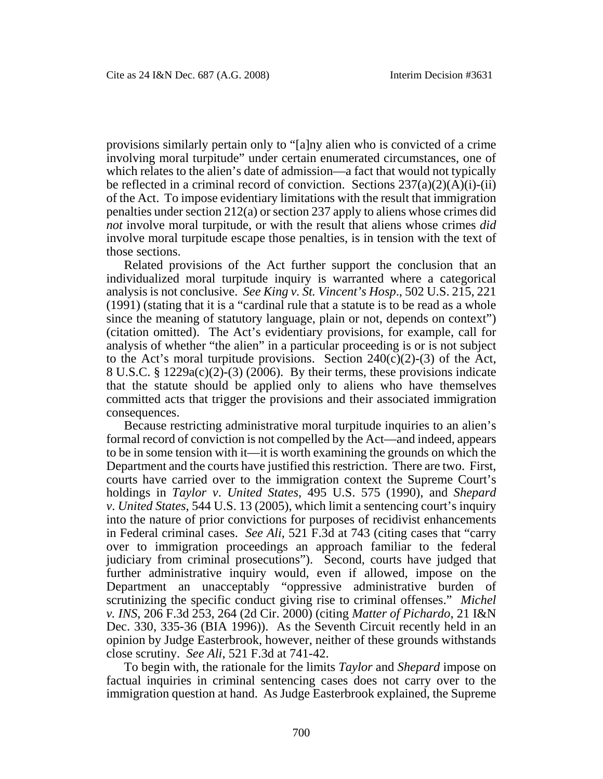provisions similarly pertain only to "[a]ny alien who is convicted of a crime involving moral turpitude" under certain enumerated circumstances, one of which relates to the alien's date of admission—a fact that would not typically be reflected in a criminal record of conviction. Sections  $237(a)(2)(A)(i)-(ii)$ of the Act. To impose evidentiary limitations with the result that immigration penalties under section 212(a) or section 237 apply to aliens whose crimes did *not* involve moral turpitude, or with the result that aliens whose crimes *did* involve moral turpitude escape those penalties, is in tension with the text of those sections.

Related provisions of the Act further support the conclusion that an individualized moral turpitude inquiry is warranted where a categorical analysis is not conclusive. *See King v. St. Vincent's Hosp*., 502 U.S. 215, 221 (1991) (stating that it is a "cardinal rule that a statute is to be read as a whole since the meaning of statutory language, plain or not, depends on context") (citation omitted). The Act's evidentiary provisions, for example, call for analysis of whether "the alien" in a particular proceeding is or is not subject to the Act's moral turpitude provisions. Section  $240(c)(2)-(3)$  of the Act, 8 U.S.C. § 1229a(c)(2)-(3) (2006). By their terms, these provisions indicate that the statute should be applied only to aliens who have themselves committed acts that trigger the provisions and their associated immigration consequences.

Because restricting administrative moral turpitude inquiries to an alien's formal record of conviction is not compelled by the Act—and indeed, appears to be in some tension with it—it is worth examining the grounds on which the Department and the courts have justified this restriction. There are two. First, courts have carried over to the immigration context the Supreme Court's holdings in *Taylor v*. *United States*, 495 U.S. 575 (1990), and *Shepard v*. *United States*, 544 U.S. 13 (2005), which limit a sentencing court's inquiry into the nature of prior convictions for purposes of recidivist enhancements in Federal criminal cases. *See Ali*, 521 F.3d at 743 (citing cases that "carry over to immigration proceedings an approach familiar to the federal judiciary from criminal prosecutions"). Second, courts have judged that further administrative inquiry would, even if allowed, impose on the Department an unacceptably "oppressive administrative burden of scrutinizing the specific conduct giving rise to criminal offenses." *Michel v. INS*, 206 F.3d 253, 264 (2d Cir. 2000) (citing *Matter of Pichardo*, 21 I&N Dec. 330, 335-36 (BIA 1996)). As the Seventh Circuit recently held in an opinion by Judge Easterbrook, however, neither of these grounds withstands close scrutiny. *See Ali*, 521 F.3d at 741-42.

To begin with, the rationale for the limits *Taylor* and *Shepard* impose on factual inquiries in criminal sentencing cases does not carry over to the immigration question at hand. As Judge Easterbrook explained, the Supreme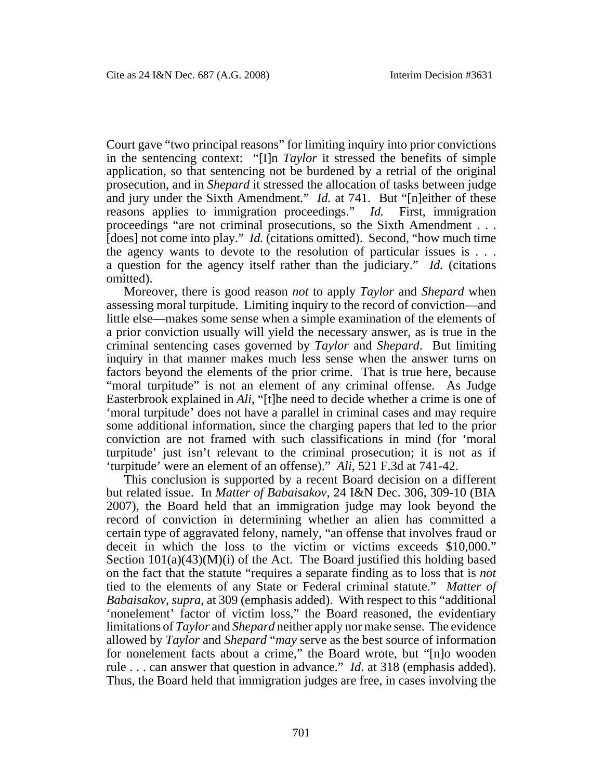Court gave "two principal reasons" for limiting inquiry into prior convictions in the sentencing context: "[I]n *Taylor* it stressed the benefits of simple application, so that sentencing not be burdened by a retrial of the original prosecution, and in *Shepard* it stressed the allocation of tasks between judge and jury under the Sixth Amendment." *Id.* at 741. But "[n]either of these reasons applies to immigration proceedings." *Id.* First, immigration proceedings "are not criminal prosecutions, so the Sixth Amendment . . . [does] not come into play." *Id.* (citations omitted). Second, "how much time the agency wants to devote to the resolution of particular issues is . . . a question for the agency itself rather than the judiciary." *Id.* (citations omitted).

Moreover, there is good reason *not* to apply *Taylor* and *Shepard* when assessing moral turpitude. Limiting inquiry to the record of conviction—and little else—makes some sense when a simple examination of the elements of a prior conviction usually will yield the necessary answer, as is true in the criminal sentencing cases governed by *Taylor* and *Shepard*. But limiting inquiry in that manner makes much less sense when the answer turns on factors beyond the elements of the prior crime. That is true here, because "moral turpitude" is not an element of any criminal offense. As Judge Easterbrook explained in *Ali*, "[t]he need to decide whether a crime is one of 'moral turpitude' does not have a parallel in criminal cases and may require some additional information, since the charging papers that led to the prior conviction are not framed with such classifications in mind (for 'moral turpitude' just isn't relevant to the criminal prosecution; it is not as if 'turpitude' were an element of an offense)." *Ali*, 521 F.3d at 741-42.

This conclusion is supported by a recent Board decision on a different but related issue. In *Matter of Babaisakov*, 24 I&N Dec. 306, 309-10 (BIA 2007), the Board held that an immigration judge may look beyond the record of conviction in determining whether an alien has committed a certain type of aggravated felony, namely, "an offense that involves fraud or deceit in which the loss to the victim or victims exceeds \$10,000." Section  $101(a)(43)(M)(i)$  of the Act. The Board justified this holding based on the fact that the statute "requires a separate finding as to loss that is *not* tied to the elements of any State or Federal criminal statute." *Matter of Babaisakov*, *supra*, at 309 (emphasis added). With respect to this "additional 'nonelement' factor of victim loss," the Board reasoned, the evidentiary limitations of *Taylor* and *Shepard* neither apply nor make sense. The evidence allowed by *Taylor* and *Shepard* "*may* serve as the best source of information for nonelement facts about a crime," the Board wrote, but "[n]o wooden rule . . . can answer that question in advance." *Id*. at 318 (emphasis added). Thus, the Board held that immigration judges are free, in cases involving the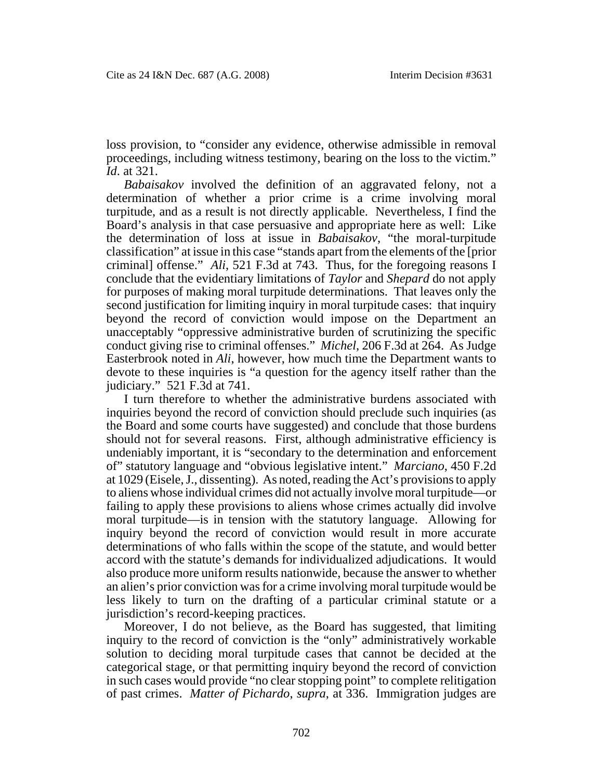loss provision, to "consider any evidence, otherwise admissible in removal proceedings, including witness testimony, bearing on the loss to the victim." *Id*. at 321.

*Babaisakov* involved the definition of an aggravated felony, not a determination of whether a prior crime is a crime involving moral turpitude, and as a result is not directly applicable. Nevertheless, I find the Board's analysis in that case persuasive and appropriate here as well: Like the determination of loss at issue in *Babaisakov*, "the moral-turpitude classification" at issue in this case "stands apart from the elements of the [prior criminal] offense." *Ali*, 521 F.3d at 743. Thus, for the foregoing reasons I conclude that the evidentiary limitations of *Taylor* and *Shepard* do not apply for purposes of making moral turpitude determinations. That leaves only the second justification for limiting inquiry in moral turpitude cases: that inquiry beyond the record of conviction would impose on the Department an unacceptably "oppressive administrative burden of scrutinizing the specific conduct giving rise to criminal offenses." *Michel*, 206 F.3d at 264. As Judge Easterbrook noted in *Ali*, however, how much time the Department wants to devote to these inquiries is "a question for the agency itself rather than the judiciary." 521 F.3d at 741.

I turn therefore to whether the administrative burdens associated with inquiries beyond the record of conviction should preclude such inquiries (as the Board and some courts have suggested) and conclude that those burdens should not for several reasons. First, although administrative efficiency is undeniably important, it is "secondary to the determination and enforcement of" statutory language and "obvious legislative intent." *Marciano*, 450 F.2d at 1029 (Eisele, J., dissenting). As noted, reading the Act's provisions to apply to aliens whose individual crimes did not actually involve moral turpitude—or failing to apply these provisions to aliens whose crimes actually did involve moral turpitude—is in tension with the statutory language. Allowing for inquiry beyond the record of conviction would result in more accurate determinations of who falls within the scope of the statute, and would better accord with the statute's demands for individualized adjudications. It would also produce more uniform results nationwide, because the answer to whether an alien's prior conviction was for a crime involving moral turpitude would be less likely to turn on the drafting of a particular criminal statute or a jurisdiction's record-keeping practices.

Moreover, I do not believe, as the Board has suggested, that limiting inquiry to the record of conviction is the "only" administratively workable solution to deciding moral turpitude cases that cannot be decided at the categorical stage, or that permitting inquiry beyond the record of conviction in such cases would provide "no clear stopping point" to complete relitigation of past crimes. *Matter of Pichardo*, *supra*, at 336. Immigration judges are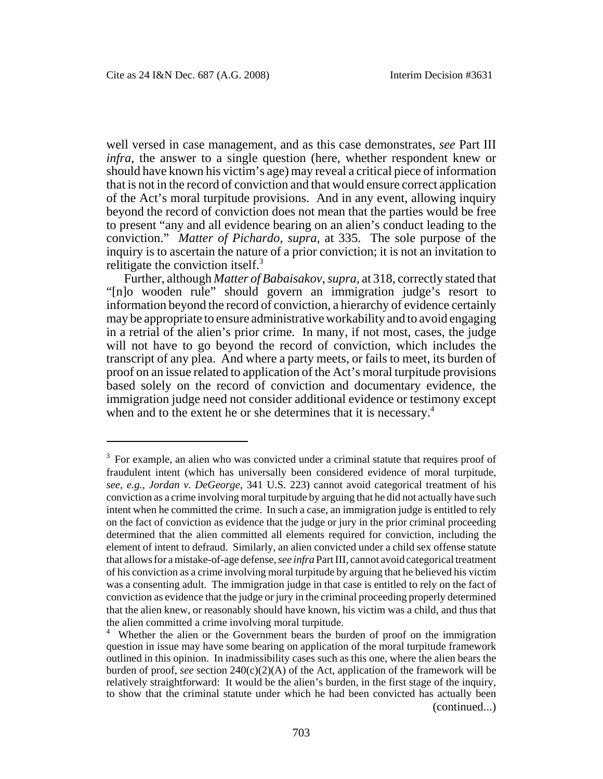well versed in case management, and as this case demonstrates, *see* Part III *infra*, the answer to a single question (here, whether respondent knew or should have known his victim's age) may reveal a critical piece of information that is not in the record of conviction and that would ensure correct application of the Act's moral turpitude provisions. And in any event, allowing inquiry beyond the record of conviction does not mean that the parties would be free to present "any and all evidence bearing on an alien's conduct leading to the conviction." *Matter of Pichardo*, *supra*, at 335. The sole purpose of the inquiry is to ascertain the nature of a prior conviction; it is not an invitation to relitigate the conviction itself.<sup>3</sup>

Further, although *Matter of Babaisakov*, *supra,* at 318*,* correctly stated that "[n]o wooden rule" should govern an immigration judge's resort to information beyond the record of conviction, a hierarchy of evidence certainly may be appropriate to ensure administrative workability and to avoid engaging in a retrial of the alien's prior crime. In many, if not most, cases, the judge will not have to go beyond the record of conviction, which includes the transcript of any plea. And where a party meets, or fails to meet, its burden of proof on an issue related to application of the Act's moral turpitude provisions based solely on the record of conviction and documentary evidence, the immigration judge need not consider additional evidence or testimony except when and to the extent he or she determines that it is necessary.<sup>4</sup>

<sup>&</sup>lt;sup>3</sup> For example, an alien who was convicted under a criminal statute that requires proof of fraudulent intent (which has universally been considered evidence of moral turpitude, *see, e.g.*, *Jordan v*. *DeGeorge*, 341 U.S. 223) cannot avoid categorical treatment of his conviction as a crime involving moral turpitude by arguing that he did not actually have such intent when he committed the crime. In such a case, an immigration judge is entitled to rely on the fact of conviction as evidence that the judge or jury in the prior criminal proceeding determined that the alien committed all elements required for conviction, including the element of intent to defraud. Similarly, an alien convicted under a child sex offense statute that allows for a mistake-of-age defense, *see infra* Part III, cannot avoid categorical treatment of his conviction as a crime involving moral turpitude by arguing that he believed his victim was a consenting adult. The immigration judge in that case is entitled to rely on the fact of conviction as evidence that the judge or jury in the criminal proceeding properly determined that the alien knew, or reasonably should have known, his victim was a child, and thus that the alien committed a crime involving moral turpitude.

<sup>&</sup>lt;sup>4</sup> Whether the alien or the Government bears the burden of proof on the immigration question in issue may have some bearing on application of the moral turpitude framework outlined in this opinion. In inadmissibility cases such as this one, where the alien bears the burden of proof, *see* section  $240(c)(2)(A)$  of the Act, application of the framework will be relatively straightforward: It would be the alien's burden, in the first stage of the inquiry, to show that the criminal statute under which he had been convicted has actually been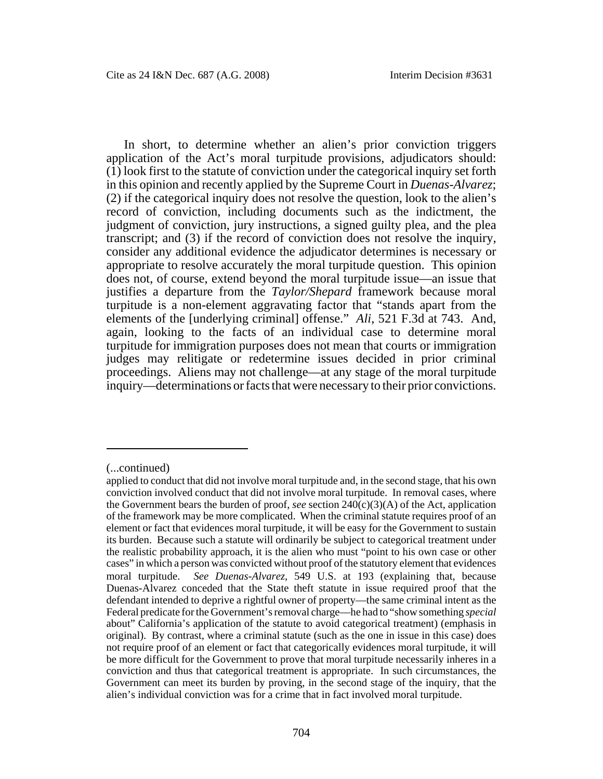In short, to determine whether an alien's prior conviction triggers application of the Act's moral turpitude provisions, adjudicators should: (1) look first to the statute of conviction under the categorical inquiry set forth in this opinion and recently applied by the Supreme Court in *Duenas-Alvarez*; (2) if the categorical inquiry does not resolve the question, look to the alien's record of conviction, including documents such as the indictment, the judgment of conviction, jury instructions, a signed guilty plea, and the plea transcript; and (3) if the record of conviction does not resolve the inquiry, consider any additional evidence the adjudicator determines is necessary or appropriate to resolve accurately the moral turpitude question. This opinion does not, of course, extend beyond the moral turpitude issue—an issue that justifies a departure from the *Taylor/Shepard* framework because moral turpitude is a non-element aggravating factor that "stands apart from the elements of the [underlying criminal] offense." *Ali*, 521 F.3d at 743. And, again, looking to the facts of an individual case to determine moral turpitude for immigration purposes does not mean that courts or immigration judges may relitigate or redetermine issues decided in prior criminal proceedings. Aliens may not challenge—at any stage of the moral turpitude inquiry—determinations or facts that were necessary to their prior convictions.

<sup>(...</sup>continued)

applied to conduct that did not involve moral turpitude and, in the second stage, that his own conviction involved conduct that did not involve moral turpitude. In removal cases, where the Government bears the burden of proof, *see* section  $240(c)(3)(A)$  of the Act, application of the framework may be more complicated. When the criminal statute requires proof of an element or fact that evidences moral turpitude, it will be easy for the Government to sustain its burden. Because such a statute will ordinarily be subject to categorical treatment under the realistic probability approach, it is the alien who must "point to his own case or other cases" in which a person was convicted without proof of the statutory element that evidences moral turpitude. *See Duenas-Alvarez*, 549 U.S. at 193 (explaining that, because Duenas-Alvarez conceded that the State theft statute in issue required proof that the defendant intended to deprive a rightful owner of property—the same criminal intent as the Federal predicate for the Government's removal charge—he had to "show something *special* about" California's application of the statute to avoid categorical treatment) (emphasis in original). By contrast, where a criminal statute (such as the one in issue in this case) does not require proof of an element or fact that categorically evidences moral turpitude, it will be more difficult for the Government to prove that moral turpitude necessarily inheres in a conviction and thus that categorical treatment is appropriate. In such circumstances, the Government can meet its burden by proving, in the second stage of the inquiry, that the alien's individual conviction was for a crime that in fact involved moral turpitude.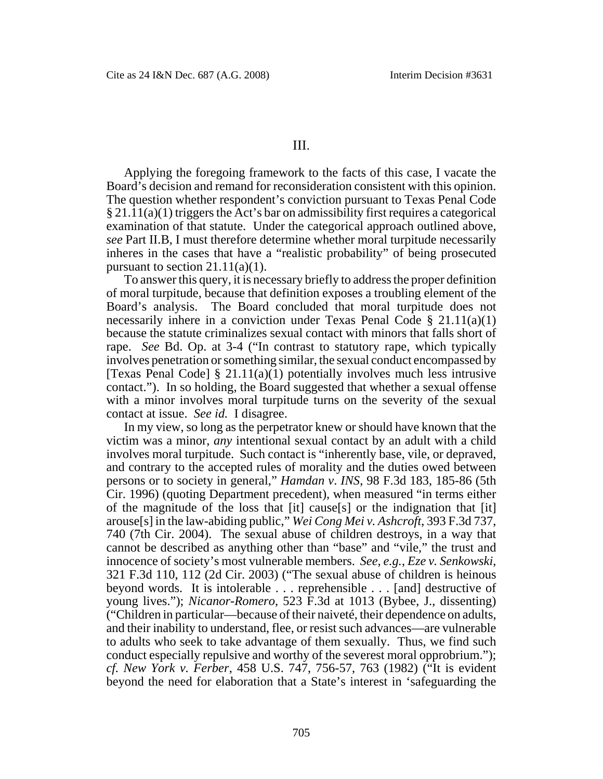### III.

Applying the foregoing framework to the facts of this case, I vacate the Board's decision and remand for reconsideration consistent with this opinion. The question whether respondent's conviction pursuant to Texas Penal Code § 21.11(a)(1) triggers the Act's bar on admissibility first requires a categorical examination of that statute. Under the categorical approach outlined above, *see* Part II.B, I must therefore determine whether moral turpitude necessarily inheres in the cases that have a "realistic probability" of being prosecuted pursuant to section  $21.11(a)(1)$ .

To answer this query, it is necessary briefly to address the proper definition of moral turpitude, because that definition exposes a troubling element of the Board's analysis. The Board concluded that moral turpitude does not necessarily inhere in a conviction under Texas Penal Code  $\S$  21.11(a)(1) because the statute criminalizes sexual contact with minors that falls short of rape. *See* Bd. Op. at 3-4 ("In contrast to statutory rape, which typically involves penetration or something similar, the sexual conduct encompassed by [Texas Penal Code]  $\S 21.11(a)(1)$  potentially involves much less intrusive contact."). In so holding, the Board suggested that whether a sexual offense with a minor involves moral turpitude turns on the severity of the sexual contact at issue. *See id.* I disagree.

In my view, so long as the perpetrator knew or should have known that the victim was a minor, *any* intentional sexual contact by an adult with a child involves moral turpitude. Such contact is "inherently base, vile, or depraved, and contrary to the accepted rules of morality and the duties owed between persons or to society in general," *Hamdan v*. *INS*, 98 F.3d 183, 185-86 (5th Cir. 1996) (quoting Department precedent), when measured "in terms either of the magnitude of the loss that [it] cause[s] or the indignation that [it] arouse[s] in the law-abiding public," *Wei Cong Mei v. Ashcroft*, 393 F.3d 737, 740 (7th Cir. 2004). The sexual abuse of children destroys, in a way that cannot be described as anything other than "base" and "vile," the trust and innocence of society's most vulnerable members. *See, e.g.*, *Eze v. Senkowski*, 321 F.3d 110, 112 (2d Cir. 2003) ("The sexual abuse of children is heinous beyond words. It is intolerable . . . reprehensible . . . [and] destructive of young lives."); *Nicanor-Romero*, 523 F.3d at 1013 (Bybee, J., dissenting) ("Children in particular—because of their naiveté, their dependence on adults, and their inability to understand, flee, or resist such advances—are vulnerable to adults who seek to take advantage of them sexually. Thus, we find such conduct especially repulsive and worthy of the severest moral opprobrium."); *cf. New York v. Ferber*, 458 U.S. 747, 756-57, 763 (1982) ("It is evident beyond the need for elaboration that a State's interest in 'safeguarding the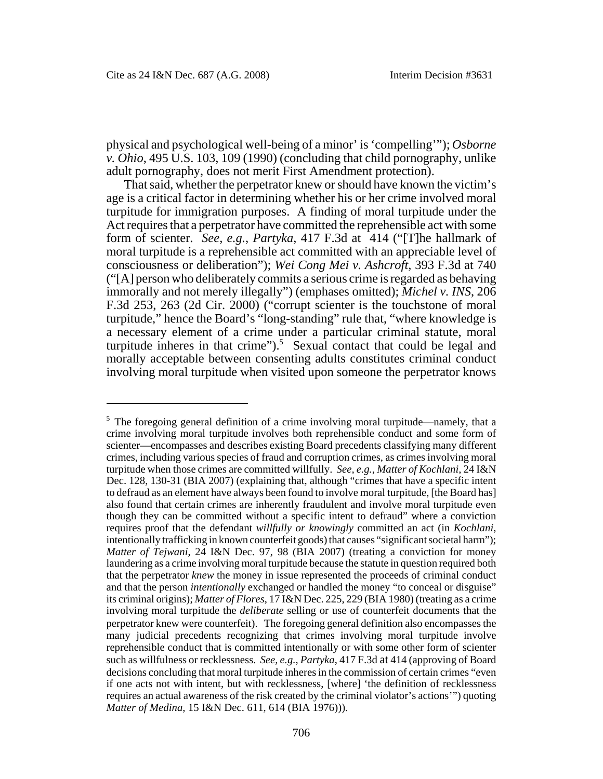physical and psychological well-being of a minor' is 'compelling'"); *Osborne v. Ohio*, 495 U.S. 103, 109 (1990) (concluding that child pornography, unlike adult pornography, does not merit First Amendment protection).

That said, whether the perpetrator knew or should have known the victim's age is a critical factor in determining whether his or her crime involved moral turpitude for immigration purposes. A finding of moral turpitude under the Act requires that a perpetrator have committed the reprehensible act with some form of scienter. *See, e.g., Partyka*, 417 F.3d at 414 ("The hallmark of moral turpitude is a reprehensible act committed with an appreciable level of consciousness or deliberation"); *Wei Cong Mei v. Ashcroft*, 393 F.3d at 740 ("[A] person who deliberately commits a serious crime is regarded as behaving immorally and not merely illegally") (emphases omitted); *Michel v. INS*, 206 F.3d 253, 263 (2d Cir. 2000) ("corrupt scienter is the touchstone of moral turpitude," hence the Board's "long-standing" rule that, "where knowledge is a necessary element of a crime under a particular criminal statute, moral turpitude inheres in that crime").<sup>5</sup> Sexual contact that could be legal and morally acceptable between consenting adults constitutes criminal conduct involving moral turpitude when visited upon someone the perpetrator knows

 $5$  The foregoing general definition of a crime involving moral turpitude—namely, that a crime involving moral turpitude involves both reprehensible conduct and some form of scienter—encompasses and describes existing Board precedents classifying many different crimes, including various species of fraud and corruption crimes, as crimes involving moral turpitude when those crimes are committed willfully. *See, e.g.*, *Matter of Kochlani*, 24 I&N Dec. 128, 130-31 (BIA 2007) (explaining that, although "crimes that have a specific intent to defraud as an element have always been found to involve moral turpitude, [the Board has] also found that certain crimes are inherently fraudulent and involve moral turpitude even though they can be committed without a specific intent to defraud" where a conviction requires proof that the defendant *willfully or knowingly* committed an act (in *Kochlani*, intentionally trafficking in known counterfeit goods) that causes "significant societal harm"); *Matter of Tejwani*, 24 I&N Dec. 97, 98 (BIA 2007) (treating a conviction for money laundering as a crime involving moral turpitude because the statute in question required both that the perpetrator *knew* the money in issue represented the proceeds of criminal conduct and that the person *intentionally* exchanged or handled the money "to conceal or disguise" its criminal origins); *Matter of Flores*, 17 I&N Dec. 225, 229 (BIA 1980) (treating as a crime involving moral turpitude the *deliberate* selling or use of counterfeit documents that the perpetrator knew were counterfeit). The foregoing general definition also encompasses the many judicial precedents recognizing that crimes involving moral turpitude involve reprehensible conduct that is committed intentionally or with some other form of scienter such as willfulness or recklessness. *See, e.g.*, *Partyka*, 417 F.3d at 414 (approving of Board decisions concluding that moral turpitude inheres in the commission of certain crimes "even if one acts not with intent, but with recklessness, [where] 'the definition of recklessness requires an actual awareness of the risk created by the criminal violator's actions'") quoting *Matter of Medina*, 15 I&N Dec. 611, 614 (BIA 1976))).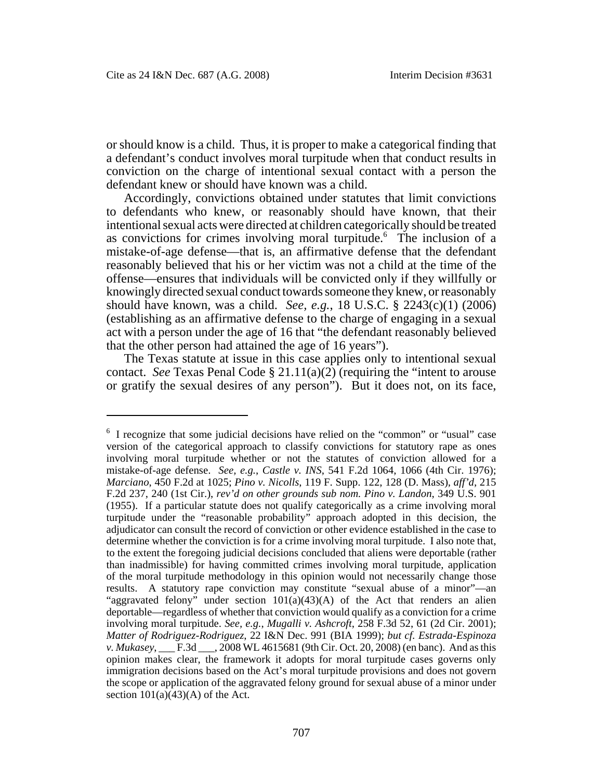or should know is a child. Thus, it is proper to make a categorical finding that a defendant's conduct involves moral turpitude when that conduct results in conviction on the charge of intentional sexual contact with a person the defendant knew or should have known was a child.

Accordingly, convictions obtained under statutes that limit convictions to defendants who knew, or reasonably should have known, that their intentional sexual acts were directed at children categorically should be treated as convictions for crimes involving moral turpitude.<sup>6</sup> The inclusion of a mistake-of-age defense—that is, an affirmative defense that the defendant reasonably believed that his or her victim was not a child at the time of the offense—ensures that individuals will be convicted only if they willfully or knowingly directed sexual conduct towards someone they knew, or reasonably should have known, was a child. *See, e.g.*, 18 U.S.C. § 2243(c)(1) (2006) (establishing as an affirmative defense to the charge of engaging in a sexual act with a person under the age of 16 that "the defendant reasonably believed that the other person had attained the age of 16 years").

The Texas statute at issue in this case applies only to intentional sexual contact. *See* Texas Penal Code § 21.11(a)(2) (requiring the "intent to arouse or gratify the sexual desires of any person"). But it does not, on its face,

 $6\,$  I recognize that some judicial decisions have relied on the "common" or "usual" case version of the categorical approach to classify convictions for statutory rape as ones involving moral turpitude whether or not the statutes of conviction allowed for a mistake-of-age defense. *See, e.g.*, *Castle v. INS*, 541 F.2d 1064, 1066 (4th Cir. 1976); *Marciano*, 450 F.2d at 1025; *Pino v. Nicolls*, 119 F. Supp. 122, 128 (D. Mass), *aff'd*, 215 F.2d 237, 240 (1st Cir.), *rev'd on other grounds sub nom. Pino v. Landon*, 349 U.S. 901 (1955). If a particular statute does not qualify categorically as a crime involving moral turpitude under the "reasonable probability" approach adopted in this decision, the adjudicator can consult the record of conviction or other evidence established in the case to determine whether the conviction is for a crime involving moral turpitude. I also note that, to the extent the foregoing judicial decisions concluded that aliens were deportable (rather than inadmissible) for having committed crimes involving moral turpitude, application of the moral turpitude methodology in this opinion would not necessarily change those results. A statutory rape conviction may constitute "sexual abuse of a minor"—an "aggravated felony" under section  $101(a)(43)(A)$  of the Act that renders an alien deportable—regardless of whether that conviction would qualify as a conviction for a crime involving moral turpitude. *See, e.g.*, *Mugalli v. Ashcroft*, 258 F.3d 52, 61 (2d Cir. 2001); *Matter of Rodriguez-Rodriguez*, 22 I&N Dec. 991 (BIA 1999); *but cf. Estrada-Espinoza v. Mukasey*, \_\_\_ F.3d \_\_\_, 2008 WL 4615681 (9th Cir. Oct. 20, 2008) (en banc). And as this opinion makes clear, the framework it adopts for moral turpitude cases governs only immigration decisions based on the Act's moral turpitude provisions and does not govern the scope or application of the aggravated felony ground for sexual abuse of a minor under section  $101(a)(43)(A)$  of the Act.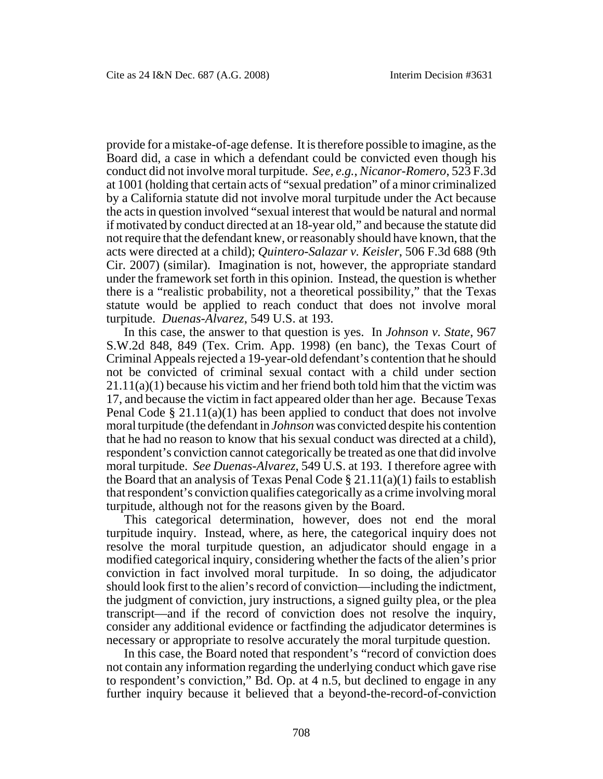provide for a mistake-of-age defense. It is therefore possible to imagine, as the Board did, a case in which a defendant could be convicted even though his conduct did not involve moral turpitude. *See, e.g.*, *Nicanor-Romero*, 523 F.3d at 1001 (holding that certain acts of "sexual predation" of a minor criminalized by a California statute did not involve moral turpitude under the Act because the acts in question involved "sexual interest that would be natural and normal if motivated by conduct directed at an 18-year old," and because the statute did not require that the defendant knew, or reasonably should have known, that the acts were directed at a child); *Quintero-Salazar v. Keisler*, 506 F.3d 688 (9th Cir. 2007) (similar). Imagination is not, however, the appropriate standard under the framework set forth in this opinion. Instead, the question is whether there is a "realistic probability, not a theoretical possibility," that the Texas statute would be applied to reach conduct that does not involve moral turpitude. *Duenas-Alvarez*, 549 U.S. at 193.

In this case, the answer to that question is yes. In *Johnson v. State*, 967 S.W.2d 848, 849 (Tex. Crim. App. 1998) (en banc), the Texas Court of Criminal Appeals rejected a 19-year-old defendant's contention that he should not be convicted of criminal sexual contact with a child under section  $21.11(a)(1)$  because his victim and her friend both told him that the victim was 17, and because the victim in fact appeared older than her age. Because Texas Penal Code  $\S 21.11(a)(1)$  has been applied to conduct that does not involve moral turpitude (the defendant in *Johnson* was convicted despite his contention that he had no reason to know that his sexual conduct was directed at a child), respondent's conviction cannot categorically be treated as one that did involve moral turpitude. *See Duenas-Alvarez*, 549 U.S. at 193. I therefore agree with the Board that an analysis of Texas Penal Code  $\S 21.11(a)(1)$  fails to establish that respondent's conviction qualifies categorically as a crime involving moral turpitude, although not for the reasons given by the Board.

This categorical determination, however, does not end the moral turpitude inquiry. Instead, where, as here, the categorical inquiry does not resolve the moral turpitude question, an adjudicator should engage in a modified categorical inquiry, considering whether the facts of the alien's prior conviction in fact involved moral turpitude. In so doing, the adjudicator should look first to the alien's record of conviction—including the indictment, the judgment of conviction, jury instructions, a signed guilty plea, or the plea transcript—and if the record of conviction does not resolve the inquiry, consider any additional evidence or factfinding the adjudicator determines is necessary or appropriate to resolve accurately the moral turpitude question.

In this case, the Board noted that respondent's "record of conviction does not contain any information regarding the underlying conduct which gave rise to respondent's conviction," Bd. Op. at 4 n.5, but declined to engage in any further inquiry because it believed that a beyond-the-record-of-conviction